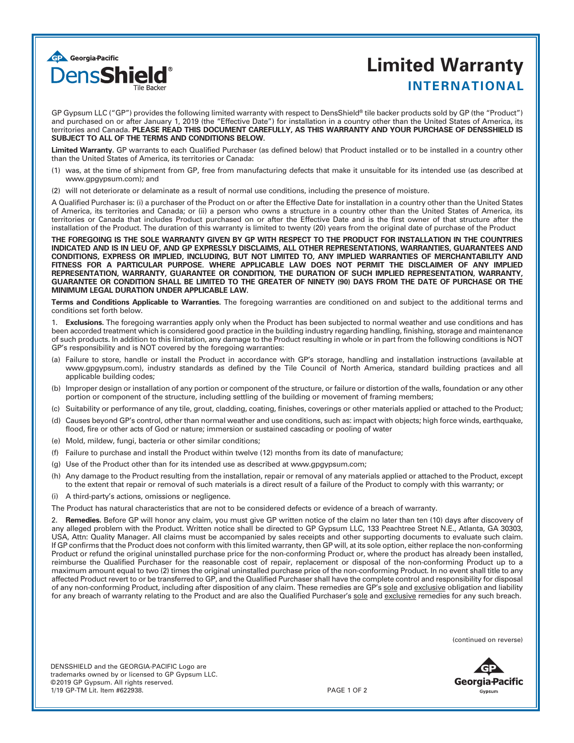

## **Limited Warranty INTERNATIONAL**

GP Gypsum LLC ("GP") provides the following limited warranty with respect to DensShield® tile backer products sold by GP (the "Product") and purchased on or after January 1, 2019 (the "Effective Date") for installation in a country other than the United States of America, its territories and Canada. **PLEASE READ THIS DOCUMENT CAREFULLY, AS THIS WARRANTY AND YOUR PURCHASE OF DENSSHIELD IS SUBJECT TO ALL OF THE TERMS AND CONDITIONS BELOW.**

Limited Warranty. GP warrants to each Qualified Purchaser (as defined below) that Product installed or to be installed in a country other than the United States of America, its territories or Canada:

- (1) was, at the time of shipment from GP, free from manufacturing defects that make it unsuitable for its intended use (as described at www.gpgypsum.com); and
- (2) will not deteriorate or delaminate as a result of normal use conditions, including the presence of moisture.

A Qualified Purchaser is: (i) a purchaser of the Product on or after the Effective Date for installation in a country other than the United States of America, its territories and Canada; or (ii) a person who owns a structure in a country other than the United States of America, its territories or Canada that includes Product purchased on or after the Effective Date and is the first owner of that structure after the installation of the Product. The duration of this warranty is limited to twenty (20) years from the original date of purchase of the Product

**THE FOREGOING IS THE SOLE WARRANTY GIVEN BY GP WITH RESPECT TO THE PRODUCT FOR INSTALLATION IN THE COUNTRIES INDICATED AND IS IN LIEU OF, AND GP EXPRESSLY DISCLAIMS, ALL OTHER REPRESENTATIONS, WARRANTIES, GUARANTEES AND CONDITIONS, EXPRESS OR IMPLIED, INCLUDING, BUT NOT LIMITED TO, ANY IMPLIED WARRANTIES OF MERCHANTABILITY AND FITNESS FOR A PARTICULAR PURPOSE. WHERE APPLICABLE LAW DOES NOT PERMIT THE DISCLAIMER OF ANY IMPLIED REPRESENTATION, WARRANTY, GUARANTEE OR CONDITION, THE DURATION OF SUCH IMPLIED REPRESENTATION, WARRANTY, GUARANTEE OR CONDITION SHALL BE LIMITED TO THE GREATER OF NINETY (90) DAYS FROM THE DATE OF PURCHASE OR THE MINIMUM LEGAL DURATION UNDER APPLICABLE LAW.**

**Terms and Conditions Applicable to Warranties.** The foregoing warranties are conditioned on and subject to the additional terms and conditions set forth below.

1. **Exclusions.** The foregoing warranties apply only when the Product has been subjected to normal weather and use conditions and has been accorded treatment which is considered good practice in the building industry regarding handling, finishing, storage and maintenance of such products. In addition to this limitation, any damage to the Product resulting in whole or in part from the following conditions is NOT GP's responsibility and is NOT covered by the foregoing warranties:

- (a) Failure to store, handle or install the Product in accordance with GP's storage, handling and installation instructions (available at www.gpgypsum.com), industry standards as defined by the Tile Council of North America, standard building practices and all applicable building codes;
- (b) Improper design or installation of any portion or component of the structure, or failure or distortion of the walls, foundation or any other portion or component of the structure, including settling of the building or movement of framing members;
- (c) Suitability or performance of any tile, grout, cladding, coating, finishes, coverings or other materials applied or attached to the Product;
- (d) Causes beyond GP's control, other than normal weather and use conditions, such as: impact with objects; high force winds, earthquake, flood, fire or other acts of God or nature; immersion or sustained cascading or pooling of water
- (e) Mold, mildew, fungi, bacteria or other similar conditions;
- (f) Failure to purchase and install the Product within twelve (12) months from its date of manufacture;
- (g) Use of the Product other than for its intended use as described at www.gpgypsum.com;
- (h) Any damage to the Product resulting from the installation, repair or removal of any materials applied or attached to the Product, except to the extent that repair or removal of such materials is a direct result of a failure of the Product to comply with this warranty; or
- (i) A third-party's actions, omissions or negligence.
- The Product has natural characteristics that are not to be considered defects or evidence of a breach of warranty.

2. **Remedies.** Before GP will honor any claim, you must give GP written notice of the claim no later than ten (10) days after discovery of any alleged problem with the Product. Written notice shall be directed to GP Gypsum LLC, 133 Peachtree Street N.E., Atlanta, GA 30303, USA, Attn: Quality Manager. All claims must be accompanied by sales receipts and other supporting documents to evaluate such claim. If GP confirms that the Product does not conform with this limited warranty, then GP will, at its sole option, either replace the non-conforming Product or refund the original uninstalled purchase price for the non-conforming Product or, where the product has already been installed, reimburse the Qualified Purchaser for the reasonable cost of repair, replacement or disposal of the non-conforming Product up to a maximum amount equal to two (2) times the original uninstalled purchase price of the non-conforming Product. In no event shall title to any affected Product revert to or be transferred to GP, and the Qualified Purchaser shall have the complete control and responsibility for disposal of any non-conforming Product, including after disposition of any claim. These remedies are GP's sole and exclusive obligation and liability for any breach of warranty relating to the Product and are also the Qualified Purchaser's sole and exclusive remedies for any such breach.

(continued on reverse)

Georgia Pacific Gypsum

DENSSHIELD and the GEORGIA-PACIFIC Logo are trademarks owned by or licensed to GP Gypsum LLC. ©2019 GP Gypsum. All rights reserved. 1/19 GP-TM Lit. Item #622938. PAGE 1 OF 2